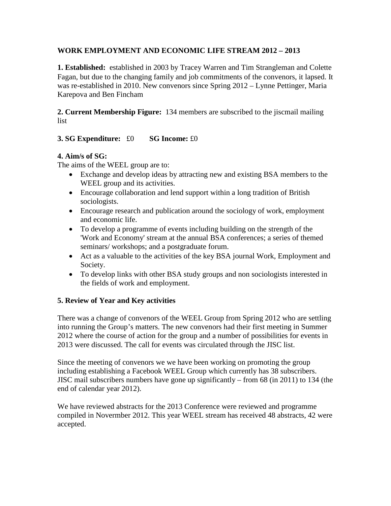## **WORK EMPLOYMENT AND ECONOMIC LIFE STREAM 2012 – 2013**

**1. Established:** established in 2003 by Tracey Warren and Tim Strangleman and Colette Fagan, but due to the changing family and job commitments of the convenors, it lapsed. It was re-established in 2010. New convenors since Spring 2012 – Lynne Pettinger, Maria Karepova and Ben Fincham

**2. Current Membership Figure:** 134 members are subscribed to the jiscmail mailing list

# **3. SG Expenditure:** £0 **SG Income:** £0

## **4. Aim/s of SG:**

The aims of the WEEL group are to:

- Exchange and develop ideas by attracting new and existing BSA members to the WEEL group and its activities.
- Encourage collaboration and lend support within a long tradition of British sociologists.
- Encourage research and publication around the sociology of work, employment and economic life.
- To develop a programme of events including building on the strength of the 'Work and Economy' stream at the annual BSA conferences; a series of themed seminars/ workshops; and a postgraduate forum.
- Act as a valuable to the activities of the key BSA journal Work, Employment and Society.
- To develop links with other BSA study groups and non sociologists interested in the fields of work and employment.

# **5. Review of Year and Key activities**

There was a change of convenors of the WEEL Group from Spring 2012 who are settling into running the Group's matters. The new convenors had their first meeting in Summer 2012 where the course of action for the group and a number of possibilities for events in 2013 were discussed. The call for events was circulated through the JISC list.

Since the meeting of convenors we we have been working on promoting the group including establishing a Facebook WEEL Group which currently has 38 subscribers. JISC mail subscribers numbers have gone up significantly – from 68 (in 2011) to 134 (the end of calendar year 2012).

We have reviewed abstracts for the 2013 Conference were reviewed and programme compiled in Novermber 2012. This year WEEL stream has received 48 abstracts, 42 were accepted.